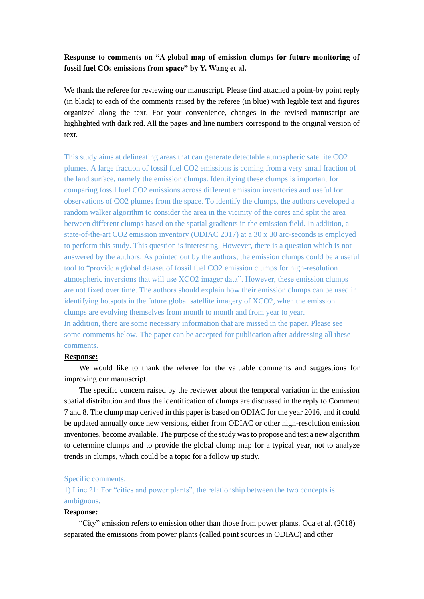# **Response to comments on "A global map of emission clumps for future monitoring of fossil fuel CO<sup>2</sup> emissions from space" by Y. Wang et al.**

We thank the referee for reviewing our manuscript. Please find attached a point-by point reply (in black) to each of the comments raised by the referee (in blue) with legible text and figures organized along the text. For your convenience, changes in the revised manuscript are highlighted with dark red. All the pages and line numbers correspond to the original version of text.

This study aims at delineating areas that can generate detectable atmospheric satellite CO2 plumes. A large fraction of fossil fuel CO2 emissions is coming from a very small fraction of the land surface, namely the emission clumps. Identifying these clumps is important for comparing fossil fuel CO2 emissions across different emission inventories and useful for observations of CO2 plumes from the space. To identify the clumps, the authors developed a random walker algorithm to consider the area in the vicinity of the cores and split the area between different clumps based on the spatial gradients in the emission field. In addition, a state-of-the-art CO2 emission inventory (ODIAC 2017) at a 30 x 30 arc-seconds is employed to perform this study. This question is interesting. However, there is a question which is not answered by the authors. As pointed out by the authors, the emission clumps could be a useful tool to "provide a global dataset of fossil fuel CO2 emission clumps for high-resolution atmospheric inversions that will use XCO2 imager data". However, these emission clumps are not fixed over time. The authors should explain how their emission clumps can be used in identifying hotspots in the future global satellite imagery of XCO2, when the emission clumps are evolving themselves from month to month and from year to year. In addition, there are some necessary information that are missed in the paper. Please see some comments below. The paper can be accepted for publication after addressing all these comments.

#### **Response:**

We would like to thank the referee for the valuable comments and suggestions for improving our manuscript.

The specific concern raised by the reviewer about the temporal variation in the emission spatial distribution and thus the identification of clumps are discussed in the reply to Comment 7 and 8. The clump map derived in this paper is based on ODIAC for the year 2016, and it could be updated annually once new versions, either from ODIAC or other high-resolution emission inventories, become available. The purpose of the study was to propose and test a new algorithm to determine clumps and to provide the global clump map for a typical year, not to analyze trends in clumps, which could be a topic for a follow up study.

#### Specific comments:

1) Line 21: For "cities and power plants", the relationship between the two concepts is ambiguous.

### **Response:**

"City" emission refers to emission other than those from power plants. Oda et al. (2018) separated the emissions from power plants (called point sources in ODIAC) and other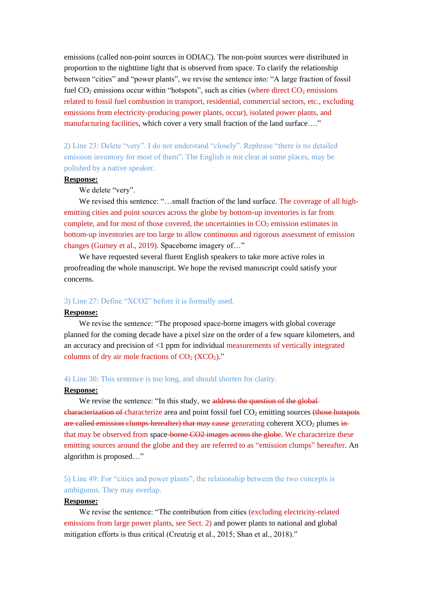emissions (called non-point sources in ODIAC). The non-point sources were distributed in proportion to the nighttime light that is observed from space. To clarify the relationship between "cities" and "power plants", we revise the sentence into: "A large fraction of fossil fuel  $CO<sub>2</sub>$  emissions occur within "hotspots", such as cities (where direct  $CO<sub>2</sub>$  emissions related to fossil fuel combustion in transport, residential, commercial sectors, etc., excluding emissions from electricity-producing power plants, occur), isolated power plants, and manufacturing facilities, which cover a very small fraction of the land surface…."

2) Line 23: Delete "very". I do not understand "closely". Rephrase "there is no detailed emission inventory for most of them". The English is not clear at some places, may be polished by a native speaker.

#### **Response:**

We delete "very".

We revised this sentence: "...small fraction of the land surface. The coverage of all highemitting cities and point sources across the globe by bottom-up inventories is far from complete, and for most of those covered, the uncertainties in  $CO<sub>2</sub>$  emission estimates in bottom-up inventories are too large to allow continuous and rigorous assessment of emission changes (Gurney et al., 2019). Spaceborne imagery of…"

We have requested several fluent English speakers to take more active roles in proofreading the whole manuscript. We hope the revised manuscript could satisfy your concerns.

#### 3) Line 27: Define "XCO2" before it is formally used.

## **Response:**

We revise the sentence: "The proposed space-borne imagers with global coverage planned for the coming decade have a pixel size on the order of a few square kilometers, and an accuracy and precision of <1 ppm for individual measurements of vertically integrated columns of dry air mole fractions of  $CO<sub>2</sub> (XCO<sub>2</sub>)$ ."

## 4) Line 30: This sentence is too long, and should shorten for clarity.

#### **Response:**

We revise the sentence: "In this study, we address the question of the global- $\theta$  characterization of characterize area and point fossil fuel CO<sub>2</sub> emitting sources (those hotspots are called emission clumps hereafter) that may cause generating coherent XCO<sub>2</sub> plumes inthat may be observed from space-borne CO2 images across the globe. We characterize these emitting sources around the globe and they are referred to as "emission clumps" hereafter. An algorithm is proposed…"

5) Line 49: For "cities and power plants", the relationship between the two concepts is ambiguous. They may overlap.

### **Response:**

We revise the sentence: "The contribution from cities (excluding electricity-related emissions from large power plants, see Sect. 2) and power plants to national and global mitigation efforts is thus critical (Creutzig et al., 2015; Shan et al., 2018)."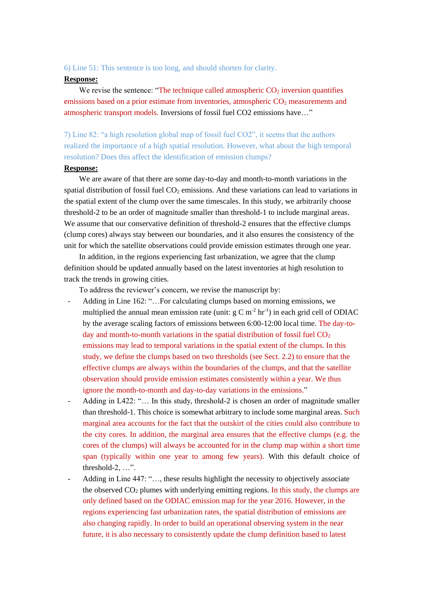## 6) Line 51: This sentence is too long, and should shorten for clarity.

#### **Response:**

We revise the sentence: "The technique called atmospheric  $CO<sub>2</sub>$  inversion quantifies emissions based on a prior estimate from inventories, atmospheric  $CO<sub>2</sub>$  measurements and atmospheric transport models. Inversions of fossil fuel CO2 emissions have…"

7) Line 82: "a high resolution global map of fossil fuel CO2", it seems that the authors realized the importance of a high spatial resolution. However, what about the high temporal resolution? Does this affect the identification of emission clumps?

# **Response:**

We are aware of that there are some day-to-day and month-to-month variations in the spatial distribution of fossil fuel  $CO<sub>2</sub>$  emissions. And these variations can lead to variations in the spatial extent of the clump over the same timescales. In this study, we arbitrarily choose threshold-2 to be an order of magnitude smaller than threshold-1 to include marginal areas. We assume that our conservative definition of threshold-2 ensures that the effective clumps (clump cores) always stay between our boundaries, and it also ensures the consistency of the unit for which the satellite observations could provide emission estimates through one year.

In addition, in the regions experiencing fast urbanization, we agree that the clump definition should be updated annually based on the latest inventories at high resolution to track the trends in growing cities.

To address the reviewer's concern, we revise the manuscript by:

- Adding in Line 162: "...For calculating clumps based on morning emissions, we multiplied the annual mean emission rate (unit:  $g C m^{-2} hr^{-1}$ ) in each grid cell of ODIAC by the average scaling factors of emissions between 6:00-12:00 local time. The day-today and month-to-month variations in the spatial distribution of fossil fuel  $CO<sub>2</sub>$ emissions may lead to temporal variations in the spatial extent of the clumps. In this study, we define the clumps based on two thresholds (see Sect. 2.2) to ensure that the effective clumps are always within the boundaries of the clumps, and that the satellite observation should provide emission estimates consistently within a year. We thus ignore the month-to-month and day-to-day variations in the emissions."
- Adding in L422: "... In this study, threshold-2 is chosen an order of magnitude smaller than threshold-1. This choice is somewhat arbitrary to include some marginal areas. Such marginal area accounts for the fact that the outskirt of the cities could also contribute to the city cores. In addition, the marginal area ensures that the effective clumps (e.g. the cores of the clumps) will always be accounted for in the clump map within a short time span (typically within one year to among few years). With this default choice of threshold-2, …".
- Adding in Line 447: "..., these results highlight the necessity to objectively associate the observed  $CO<sub>2</sub>$  plumes with underlying emitting regions. In this study, the clumps are only defined based on the ODIAC emission map for the year 2016. However, in the regions experiencing fast urbanization rates, the spatial distribution of emissions are also changing rapidly. In order to build an operational observing system in the near future, it is also necessary to consistently update the clump definition based to latest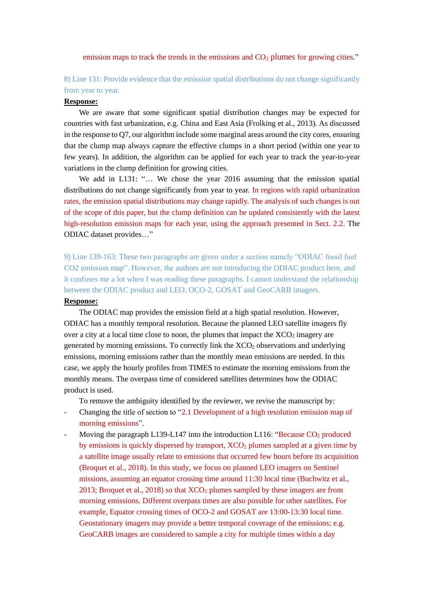emission maps to track the trends in the emissions and  $CO<sub>2</sub>$  plumes for growing cities."

# 8) Line 131: Provide evidence that the emission spatial distributions do not change significantly from year to year.

#### **Response:**

We are aware that some significant spatial distribution changes may be expected for countries with fast urbanization, e.g. China and East Asia (Frolking et al., 2013). As discussed in the response to Q7, our algorithm include some marginal areas around the city cores, ensuring that the clump map always capture the effective clumps in a short period (within one year to few years). In addition, the algorithm can be applied for each year to track the year-to-year variations in the clump definition for growing cities.

We add in L131: "... We chose the year 2016 assuming that the emission spatial distributions do not change significantly from year to year. In regions with rapid urbanization rates, the emission spatial distributions may change rapidly. The analysis of such changes is out of the scope of this paper, but the clump definition can be updated consistently with the latest high-resolution emission maps for each year, using the approach presented in Sect. 2.2. The ODIAC dataset provides…"

9) Line 139-163: These two paragraphs are given under a section namely "ODIAC fossil fuel CO2 emission map". However, the authors are not introducing the ODIAC product here, and it confuses me a lot when I was reading these paragraphs. I cannot understand the relationship between the ODIAC product and LEO, OCO-2, GOSAT and GeoCARB imagers.

### **Response:**

The ODIAC map provides the emission field at a high spatial resolution. However, ODIAC has a monthly temporal resolution. Because the planned LEO satellite imagers fly over a city at a local time close to noon, the plumes that impact the  $XCO<sub>2</sub>$  imagery are generated by morning emissions. To correctly link the  $XCO<sub>2</sub>$  observations and underlying emissions, morning emissions rather than the monthly mean emissions are needed. In this case, we apply the hourly profiles from TIMES to estimate the morning emissions from the monthly means. The overpass time of considered satellites determines how the ODIAC product is used.

To remove the ambiguity identified by the reviewer, we revise the manuscript by:

- Changing the title of section to "2.1 Development of a high resolution emission map of morning emissions".
- Moving the paragraph L139-L147 into the introduction L116: "Because  $CO<sub>2</sub>$  produced by emissions is quickly dispersed by transport,  $XCO<sub>2</sub>$  plumes sampled at a given time by a satellite image usually relate to emissions that occurred few hours before its acquisition (Broquet et al., 2018). In this study, we focus on planned LEO imagers on Sentinel missions, assuming an equator crossing time around 11:30 local time (Buchwitz et al., 2013; Broquet et al., 2018) so that  $XCO<sub>2</sub>$  plumes sampled by these imagers are from morning emissions. Different overpass times are also possible for other satellites. For example, Equator crossing times of OCO-2 and GOSAT are 13:00-13:30 local time. Geostationary imagers may provide a better temporal coverage of the emissions; e.g. GeoCARB images are considered to sample a city for multiple times within a day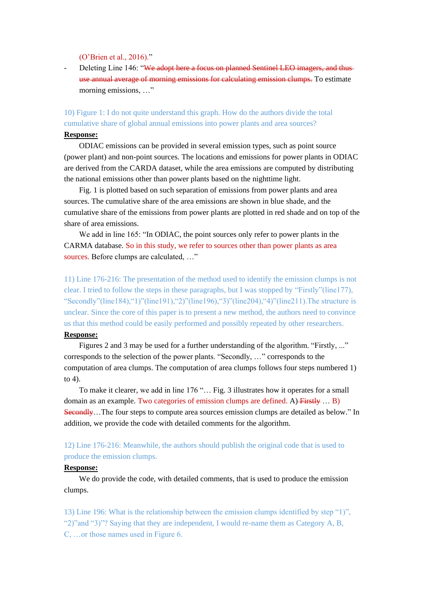(O'Brien et al., 2016)."

Deleting Line 146: "We adopt here a focus on planned Sentinel LEO imagers, and thus use annual average of morning emissions for calculating emission clumps. To estimate morning emissions, …"

10) Figure 1: I do not quite understand this graph. How do the authors divide the total cumulative share of global annual emissions into power plants and area sources?

# **Response:**

ODIAC emissions can be provided in several emission types, such as point source (power plant) and non-point sources. The locations and emissions for power plants in ODIAC are derived from the CARDA dataset, while the area emissions are computed by distributing the national emissions other than power plants based on the nighttime light.

Fig. 1 is plotted based on such separation of emissions from power plants and area sources. The cumulative share of the area emissions are shown in blue shade, and the cumulative share of the emissions from power plants are plotted in red shade and on top of the share of area emissions.

We add in line 165: "In ODIAC, the point sources only refer to power plants in the CARMA database. So in this study, we refer to sources other than power plants as area sources. Before clumps are calculated, ..."

11) Line 176-216: The presentation of the method used to identify the emission clumps is not clear. I tried to follow the steps in these paragraphs, but I was stopped by "Firstly"(line177), "Secondly"(line184),"1)"(line191),"2)"(line196),"3)"(line204),"4)"(line211).The structure is unclear. Since the core of this paper is to present a new method, the authors need to convince us that this method could be easily performed and possibly repeated by other researchers.

#### **Response:**

Figures 2 and 3 may be used for a further understanding of the algorithm. "Firstly, ..." corresponds to the selection of the power plants. "Secondly, …" corresponds to the computation of area clumps. The computation of area clumps follows four steps numbered 1) to 4).

To make it clearer, we add in line 176 "… Fig. 3 illustrates how it operates for a small domain as an example. Two categories of emission clumps are defined. A) Firstly ... B) Secondly…The four steps to compute area sources emission clumps are detailed as below." In addition, we provide the code with detailed comments for the algorithm.

# 12) Line 176-216: Meanwhile, the authors should publish the original code that is used to produce the emission clumps.

### **Response:**

We do provide the code, with detailed comments, that is used to produce the emission clumps.

13) Line 196: What is the relationship between the emission clumps identified by step "1)", "2)"and "3)"? Saying that they are independent, I would re-name them as Category A, B, C, …or those names used in Figure 6.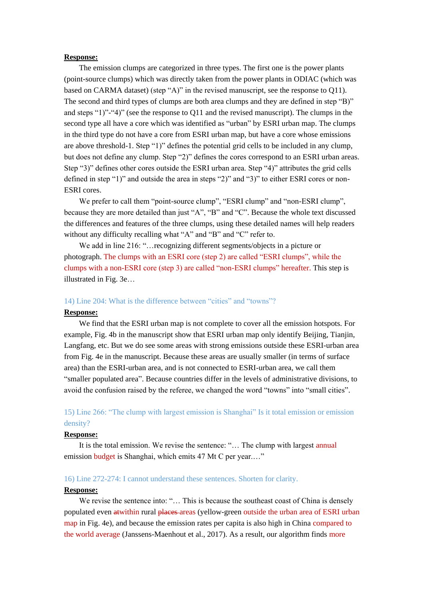### **Response:**

The emission clumps are categorized in three types. The first one is the power plants (point-source clumps) which was directly taken from the power plants in ODIAC (which was based on CARMA dataset) (step "A)" in the revised manuscript, see the response to Q11). The second and third types of clumps are both area clumps and they are defined in step "B)" and steps "1)"-"4)" (see the response to Q11 and the revised manuscript). The clumps in the second type all have a core which was identified as "urban" by ESRI urban map. The clumps in the third type do not have a core from ESRI urban map, but have a core whose emissions are above threshold-1. Step "1)" defines the potential grid cells to be included in any clump, but does not define any clump. Step "2)" defines the cores correspond to an ESRI urban areas. Step "3)" defines other cores outside the ESRI urban area. Step "4)" attributes the grid cells defined in step "1)" and outside the area in steps "2)" and "3)" to either ESRI cores or non-ESRI cores.

We prefer to call them "point-source clump", "ESRI clump" and "non-ESRI clump", because they are more detailed than just "A", "B" and "C". Because the whole text discussed the differences and features of the three clumps, using these detailed names will help readers without any difficulty recalling what "A" and "B" and "C" refer to.

We add in line 216: "…recognizing different segments/objects in a picture or photograph. The clumps with an ESRI core (step 2) are called "ESRI clumps", while the clumps with a non-ESRI core (step 3) are called "non-ESRI clumps" hereafter. This step is illustrated in Fig. 3e…

#### 14) Line 204: What is the difference between "cities" and "towns"?

### **Response:**

We find that the ESRI urban map is not complete to cover all the emission hotspots. For example, Fig. 4b in the manuscript show that ESRI urban map only identify Beijing, Tianjin, Langfang, etc. But we do see some areas with strong emissions outside these ESRI-urban area from Fig. 4e in the manuscript. Because these areas are usually smaller (in terms of surface area) than the ESRI-urban area, and is not connected to ESRI-urban area, we call them "smaller populated area". Because countries differ in the levels of administrative divisions, to avoid the confusion raised by the referee, we changed the word "towns" into "small cities".

# 15) Line 266: "The clump with largest emission is Shanghai" Is it total emission or emission density?

### **Response:**

It is the total emission. We revise the sentence: "… The clump with largest annual emission budget is Shanghai, which emits 47 Mt C per year.…"

## 16) Line 272-274: I cannot understand these sentences. Shorten for clarity.

#### **Response:**

We revise the sentence into: "... This is because the southeast coast of China is densely populated even atwithin rural places areas (yellow-green outside the urban area of ESRI urban map in Fig. 4e), and because the emission rates per capita is also high in China compared to the world average (Janssens-Maenhout et al., 2017). As a result, our algorithm finds more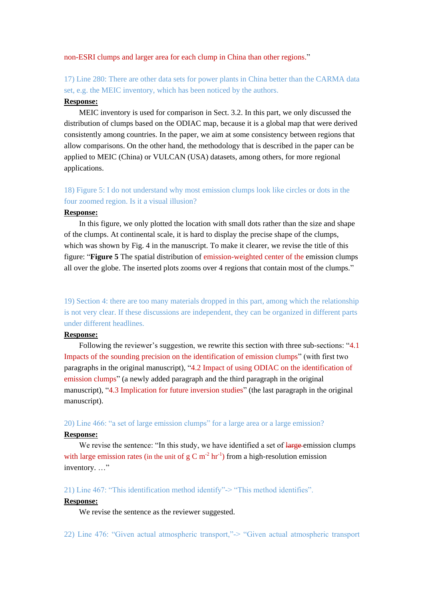#### non-ESRI clumps and larger area for each clump in China than other regions."

17) Line 280: There are other data sets for power plants in China better than the CARMA data set, e.g. the MEIC inventory, which has been noticed by the authors.

### **Response:**

MEIC inventory is used for comparison in Sect. 3.2. In this part, we only discussed the distribution of clumps based on the ODIAC map, because it is a global map that were derived consistently among countries. In the paper, we aim at some consistency between regions that allow comparisons. On the other hand, the methodology that is described in the paper can be applied to MEIC (China) or VULCAN (USA) datasets, among others, for more regional applications.

# 18) Figure 5: I do not understand why most emission clumps look like circles or dots in the four zoomed region. Is it a visual illusion?

### **Response:**

In this figure, we only plotted the location with small dots rather than the size and shape of the clumps. At continental scale, it is hard to display the precise shape of the clumps, which was shown by Fig. 4 in the manuscript. To make it clearer, we revise the title of this figure: "**Figure 5** The spatial distribution of emission-weighted center of the emission clumps all over the globe. The inserted plots zooms over 4 regions that contain most of the clumps."

19) Section 4: there are too many materials dropped in this part, among which the relationship is not very clear. If these discussions are independent, they can be organized in different parts under different headlines.

### **Response:**

Following the reviewer's suggestion, we rewrite this section with three sub-sections: "4.1 Impacts of the sounding precision on the identification of emission clumps" (with first two paragraphs in the original manuscript), "4.2 Impact of using ODIAC on the identification of emission clumps" (a newly added paragraph and the third paragraph in the original manuscript), "4.3 Implication for future inversion studies" (the last paragraph in the original manuscript).

### 20) Line 466: "a set of large emission clumps" for a large area or a large emission?

#### **Response:**

We revise the sentence: "In this study, we have identified a set of large-emission clumps with large emission rates (in the unit of  $g C m<sup>-2</sup> hr<sup>-1</sup>$ ) from a high-resolution emission inventory...."

21) Line 467: "This identification method identify"-> "This method identifies".

# **Response:**

We revise the sentence as the reviewer suggested.

22) Line 476: "Given actual atmospheric transport,"-> "Given actual atmospheric transport